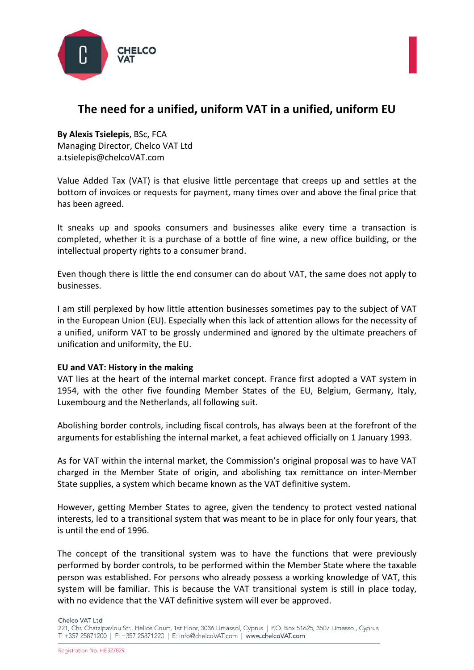



# **The need for a unified, uniform VAT in a unified, uniform EU**

**By Alexis Tsielepis**, BSc, FCA Managing Director, Chelco VAT Ltd a.tsielepis@chelcoVAT.com

Value Added Tax (VAT) is that elusive little percentage that creeps up and settles at the bottom of invoices or requests for payment, many times over and above the final price that has been agreed.

It sneaks up and spooks consumers and businesses alike every time a transaction is completed, whether it is a purchase of a bottle of fine wine, a new office building, or the intellectual property rights to a consumer brand.

Even though there is little the end consumer can do about VAT, the same does not apply to businesses.

I am still perplexed by how little attention businesses sometimes pay to the subject of VAT in the European Union (EU). Especially when this lack of attention allows for the necessity of a unified, uniform VAT to be grossly undermined and ignored by the ultimate preachers of unification and uniformity, the EU.

### **EU and VAT: History in the making**

VAT lies at the heart of the internal market concept. France first adopted a VAT system in 1954, with the other five founding Member States of the EU, Belgium, Germany, Italy, Luxembourg and the Netherlands, all following suit.

Abolishing border controls, including fiscal controls, has always been at the forefront of the arguments for establishing the internal market, a feat achieved officially on 1 January 1993.

As for VAT within the internal market, the Commission's original proposal was to have VAT charged in the Member State of origin, and abolishing tax remittance on inter-Member State supplies, a system which became known as the VAT definitive system.

However, getting Member States to agree, given the tendency to protect vested national interests, led to a transitional system that was meant to be in place for only four years, that is until the end of 1996.

The concept of the transitional system was to have the functions that were previously performed by border controls, to be performed within the Member State where the taxable person was established. For persons who already possess a working knowledge of VAT, this system will be familiar. This is because the VAT transitional system is still in place today, with no evidence that the VAT definitive system will ever be approved.

Chelco VAT Ltd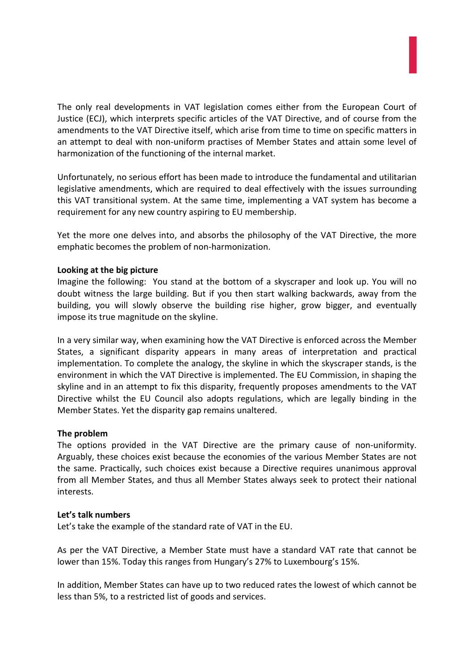

The only real developments in VAT legislation comes either from the European Court of Justice (ECJ), which interprets specific articles of the VAT Directive, and of course from the amendments to the VAT Directive itself, which arise from time to time on specific matters in an attempt to deal with non-uniform practises of Member States and attain some level of harmonization of the functioning of the internal market.

Unfortunately, no serious effort has been made to introduce the fundamental and utilitarian legislative amendments, which are required to deal effectively with the issues surrounding this VAT transitional system. At the same time, implementing a VAT system has become a requirement for any new country aspiring to EU membership.

Yet the more one delves into, and absorbs the philosophy of the VAT Directive, the more emphatic becomes the problem of non-harmonization.

### **Looking at the big picture**

Imagine the following: You stand at the bottom of a skyscraper and look up. You will no doubt witness the large building. But if you then start walking backwards, away from the building, you will slowly observe the building rise higher, grow bigger, and eventually impose its true magnitude on the skyline.

In a very similar way, when examining how the VAT Directive is enforced across the Member States, a significant disparity appears in many areas of interpretation and practical implementation. To complete the analogy, the skyline in which the skyscraper stands, is the environment in which the VAT Directive is implemented. The EU Commission, in shaping the skyline and in an attempt to fix this disparity, frequently proposes amendments to the VAT Directive whilst the EU Council also adopts regulations, which are legally binding in the Member States. Yet the disparity gap remains unaltered.

### **The problem**

The options provided in the VAT Directive are the primary cause of non-uniformity. Arguably, these choices exist because the economies of the various Member States are not the same. Practically, such choices exist because a Directive requires unanimous approval from all Member States, and thus all Member States always seek to protect their national interests.

### **Let's talk numbers**

Let's take the example of the standard rate of VAT in the EU.

As per the VAT Directive, a Member State must have a standard VAT rate that cannot be lower than 15%. Today this ranges from Hungary's 27% to Luxembourg's 15%.

In addition, Member States can have up to two reduced rates the lowest of which cannot be less than 5%, to a restricted list of goods and services.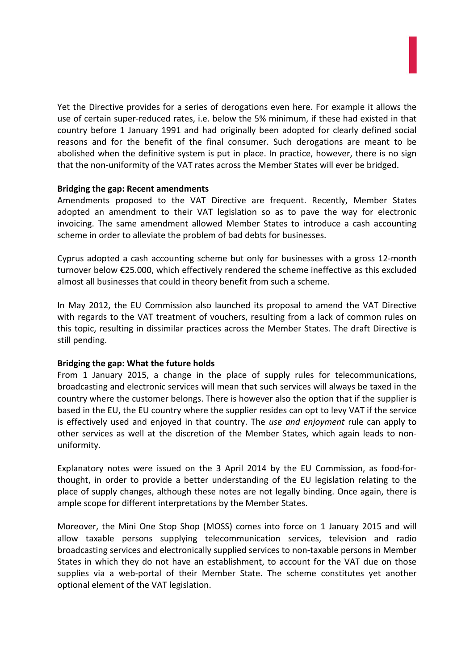Yet the Directive provides for a series of derogations even here. For example it allows the use of certain super-reduced rates, i.e. below the 5% minimum, if these had existed in that country before 1 January 1991 and had originally been adopted for clearly defined social reasons and for the benefit of the final consumer. Such derogations are meant to be abolished when the definitive system is put in place. In practice, however, there is no sign that the non-uniformity of the VAT rates across the Member States will ever be bridged.

### **Bridging the gap: Recent amendments**

Amendments proposed to the VAT Directive are frequent. Recently, Member States adopted an amendment to their VAT legislation so as to pave the way for electronic invoicing. The same amendment allowed Member States to introduce a cash accounting scheme in order to alleviate the problem of bad debts for businesses.

Cyprus adopted a cash accounting scheme but only for businesses with a gross 12-month turnover below €25.000, which effectively rendered the scheme ineffective as this excluded almost all businesses that could in theory benefit from such a scheme.

In May 2012, the EU Commission also launched its proposal to amend the VAT Directive with regards to the VAT treatment of vouchers, resulting from a lack of common rules on this topic, resulting in dissimilar practices across the Member States. The draft Directive is still pending.

## **Bridging the gap: What the future holds**

From 1 January 2015, a change in the place of supply rules for telecommunications, broadcasting and electronic services will mean that such services will always be taxed in the country where the customer belongs. There is however also the option that if the supplier is based in the EU, the EU country where the supplier resides can opt to levy VAT if the service is effectively used and enjoyed in that country. The *use and enjoyment* rule can apply to other services as well at the discretion of the Member States, which again leads to nonuniformity.

Explanatory notes were issued on the 3 April 2014 by the EU Commission, as food-forthought, in order to provide a better understanding of the EU legislation relating to the place of supply changes, although these notes are not legally binding. Once again, there is ample scope for different interpretations by the Member States.

Moreover, the Mini One Stop Shop (MOSS) comes into force on 1 January 2015 and will allow taxable persons supplying telecommunication services, television and radio broadcasting services and electronically supplied services to non-taxable persons in Member States in which they do not have an establishment, to account for the VAT due on those supplies via a web-portal of their Member State. The scheme constitutes yet another optional element of the VAT legislation.